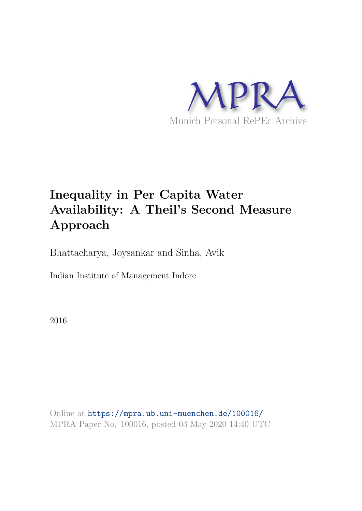

# **Inequality in Per Capita Water Availability: A Theil's Second Measure Approach**

Bhattacharya, Joysankar and Sinha, Avik

Indian Institute of Management Indore

2016

Online at https://mpra.ub.uni-muenchen.de/100016/ MPRA Paper No. 100016, posted 03 May 2020 14:40 UTC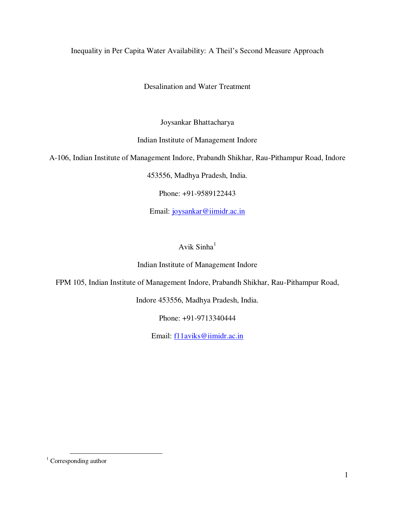# Inequality in Per Capita Water Availability: A Theil's Second Measure Approach

Desalination and Water Treatment

Joysankar Bhattacharya

Indian Institute of Management Indore

A-106, Indian Institute of Management Indore, Prabandh Shikhar, Rau-Pithampur Road, Indore

453556, Madhya Pradesh, India.

Phone: +91-9589122443

Email: [joysankar@iimidr.ac.in](mailto:joysankar@iimidr.ac.in)

# Avik  $Simha<sup>1</sup>$

#### Indian Institute of Management Indore

FPM 105, Indian Institute of Management Indore, Prabandh Shikhar, Rau-Pithampur Road,

Indore 453556, Madhya Pradesh, India.

Phone: +91-9713340444

Email: [f11aviks@iimidr.ac.in](mailto:f11aviks@iimidr.ac.in)

l

<sup>&</sup>lt;sup>1</sup> Corresponding author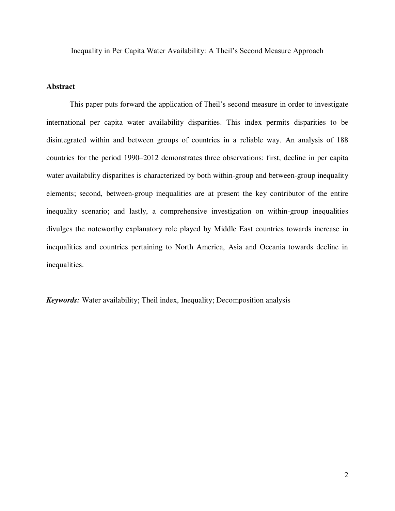Inequality in Per Capita Water Availability: A Theil's Second Measure Approach

## **Abstract**

This paper puts forward the application of Theil's second measure in order to investigate international per capita water availability disparities. This index permits disparities to be disintegrated within and between groups of countries in a reliable way. An analysis of 188 countries for the period 1990–2012 demonstrates three observations: first, decline in per capita water availability disparities is characterized by both within-group and between-group inequality elements; second, between-group inequalities are at present the key contributor of the entire inequality scenario; and lastly, a comprehensive investigation on within-group inequalities divulges the noteworthy explanatory role played by Middle East countries towards increase in inequalities and countries pertaining to North America, Asia and Oceania towards decline in inequalities.

*Keywords:* Water availability; Theil index, Inequality; Decomposition analysis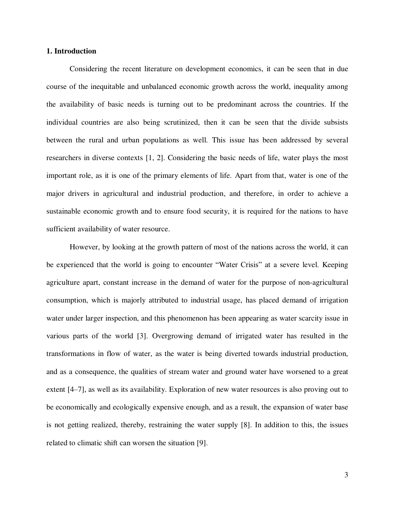#### **1. Introduction**

Considering the recent literature on development economics, it can be seen that in due course of the inequitable and unbalanced economic growth across the world, inequality among the availability of basic needs is turning out to be predominant across the countries. If the individual countries are also being scrutinized, then it can be seen that the divide subsists between the rural and urban populations as well. This issue has been addressed by several researchers in diverse contexts [1, 2]. Considering the basic needs of life, water plays the most important role, as it is one of the primary elements of life. Apart from that, water is one of the major drivers in agricultural and industrial production, and therefore, in order to achieve a sustainable economic growth and to ensure food security, it is required for the nations to have sufficient availability of water resource.

However, by looking at the growth pattern of most of the nations across the world, it can be experienced that the world is going to encounter "Water Crisis" at a severe level. Keeping agriculture apart, constant increase in the demand of water for the purpose of non-agricultural consumption, which is majorly attributed to industrial usage, has placed demand of irrigation water under larger inspection, and this phenomenon has been appearing as water scarcity issue in various parts of the world [3]. Overgrowing demand of irrigated water has resulted in the transformations in flow of water, as the water is being diverted towards industrial production, and as a consequence, the qualities of stream water and ground water have worsened to a great extent [4–7], as well as its availability. Exploration of new water resources is also proving out to be economically and ecologically expensive enough, and as a result, the expansion of water base is not getting realized, thereby, restraining the water supply [8]. In addition to this, the issues related to climatic shift can worsen the situation [9].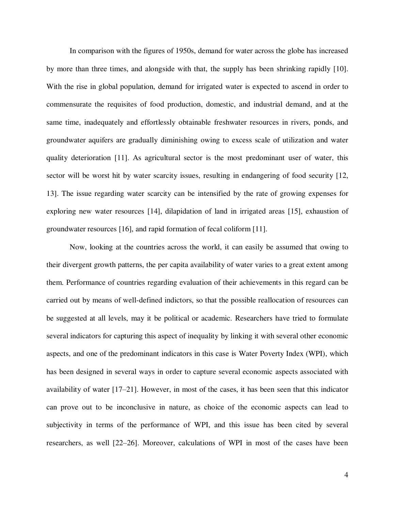In comparison with the figures of 1950s, demand for water across the globe has increased by more than three times, and alongside with that, the supply has been shrinking rapidly [10]. With the rise in global population, demand for irrigated water is expected to ascend in order to commensurate the requisites of food production, domestic, and industrial demand, and at the same time, inadequately and effortlessly obtainable freshwater resources in rivers, ponds, and groundwater aquifers are gradually diminishing owing to excess scale of utilization and water quality deterioration [11]. As agricultural sector is the most predominant user of water, this sector will be worst hit by water scarcity issues, resulting in endangering of food security [12, 13]. The issue regarding water scarcity can be intensified by the rate of growing expenses for exploring new water resources [14], dilapidation of land in irrigated areas [15], exhaustion of groundwater resources [16], and rapid formation of fecal coliform [11].

Now, looking at the countries across the world, it can easily be assumed that owing to their divergent growth patterns, the per capita availability of water varies to a great extent among them. Performance of countries regarding evaluation of their achievements in this regard can be carried out by means of well-defined indictors, so that the possible reallocation of resources can be suggested at all levels, may it be political or academic. Researchers have tried to formulate several indicators for capturing this aspect of inequality by linking it with several other economic aspects, and one of the predominant indicators in this case is Water Poverty Index (WPI), which has been designed in several ways in order to capture several economic aspects associated with availability of water [17–21]. However, in most of the cases, it has been seen that this indicator can prove out to be inconclusive in nature, as choice of the economic aspects can lead to subjectivity in terms of the performance of WPI, and this issue has been cited by several researchers, as well [22–26]. Moreover, calculations of WPI in most of the cases have been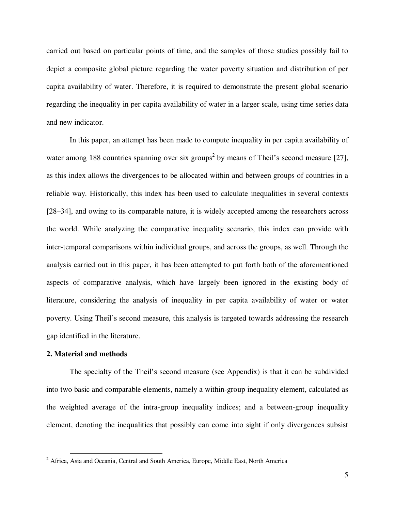carried out based on particular points of time, and the samples of those studies possibly fail to depict a composite global picture regarding the water poverty situation and distribution of per capita availability of water. Therefore, it is required to demonstrate the present global scenario regarding the inequality in per capita availability of water in a larger scale, using time series data and new indicator.

In this paper, an attempt has been made to compute inequality in per capita availability of water among 188 countries spanning over six groups<sup>2</sup> by means of Theil's second measure [27], as this index allows the divergences to be allocated within and between groups of countries in a reliable way. Historically, this index has been used to calculate inequalities in several contexts [28–34], and owing to its comparable nature, it is widely accepted among the researchers across the world. While analyzing the comparative inequality scenario, this index can provide with inter-temporal comparisons within individual groups, and across the groups, as well. Through the analysis carried out in this paper, it has been attempted to put forth both of the aforementioned aspects of comparative analysis, which have largely been ignored in the existing body of literature, considering the analysis of inequality in per capita availability of water or water poverty. Using Theil's second measure, this analysis is targeted towards addressing the research gap identified in the literature.

### **2. Material and methods**

l

The specialty of the Theil's second measure (see Appendix) is that it can be subdivided into two basic and comparable elements, namely a within-group inequality element, calculated as the weighted average of the intra-group inequality indices; and a between-group inequality element, denoting the inequalities that possibly can come into sight if only divergences subsist

<sup>&</sup>lt;sup>2</sup> Africa, Asia and Oceania, Central and South America, Europe, Middle East, North America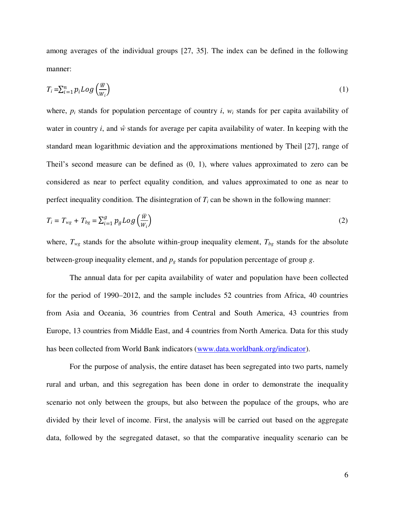among averages of the individual groups [27, 35]. The index can be defined in the following manner:

$$
T_i = \sum_{i=1}^n p_i Log\left(\frac{\overline{w}}{w_i}\right) \tag{1}
$$

where,  $p_i$  stands for population percentage of country *i*,  $w_i$  stands for per capita availability of water in country *i*, and  $\hat{w}$  stands for average per capita availability of water. In keeping with the standard mean logarithmic deviation and the approximations mentioned by Theil [27], range of Theil's second measure can be defined as (0, 1), where values approximated to zero can be considered as near to perfect equality condition, and values approximated to one as near to perfect inequality condition. The disintegration of  $T_i$  can be shown in the following manner:

$$
T_i = T_{wg} + T_{bg} = \sum_{i=1}^{g} p_g Log\left(\frac{\overline{w}}{w_i}\right)
$$
 (2)

where,  $T_{wg}$  stands for the absolute within-group inequality element,  $T_{bg}$  stands for the absolute between-group inequality element, and *pg* stands for population percentage of group *g*.

The annual data for per capita availability of water and population have been collected for the period of 1990–2012, and the sample includes 52 countries from Africa, 40 countries from Asia and Oceania, 36 countries from Central and South America, 43 countries from Europe, 13 countries from Middle East, and 4 countries from North America. Data for this study has been collected from World Bank indicators [\(www.data.worldbank.org/indicator\)](http://www.data.worldbank.org/indicator).

For the purpose of analysis, the entire dataset has been segregated into two parts, namely rural and urban, and this segregation has been done in order to demonstrate the inequality scenario not only between the groups, but also between the populace of the groups, who are divided by their level of income. First, the analysis will be carried out based on the aggregate data, followed by the segregated dataset, so that the comparative inequality scenario can be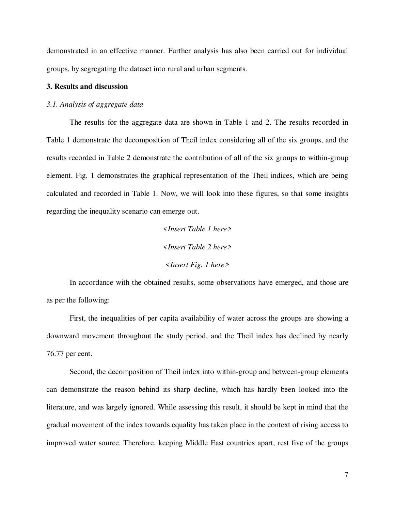demonstrated in an effective manner. Further analysis has also been carried out for individual groups, by segregating the dataset into rural and urban segments.

## **3. Results and discussion**

#### *3.1. Analysis of aggregate data*

The results for the aggregate data are shown in Table 1 and 2. The results recorded in Table 1 demonstrate the decomposition of Theil index considering all of the six groups, and the results recorded in Table 2 demonstrate the contribution of all of the six groups to within-group element. Fig. 1 demonstrates the graphical representation of the Theil indices, which are being calculated and recorded in Table 1. Now, we will look into these figures, so that some insights regarding the inequality scenario can emerge out.

> *<Insert Table 1 here> <Insert Table 2 here> <Insert Fig. 1 here>*

In accordance with the obtained results, some observations have emerged, and those are as per the following:

First, the inequalities of per capita availability of water across the groups are showing a downward movement throughout the study period, and the Theil index has declined by nearly 76.77 per cent.

Second, the decomposition of Theil index into within-group and between-group elements can demonstrate the reason behind its sharp decline, which has hardly been looked into the literature, and was largely ignored. While assessing this result, it should be kept in mind that the gradual movement of the index towards equality has taken place in the context of rising access to improved water source. Therefore, keeping Middle East countries apart, rest five of the groups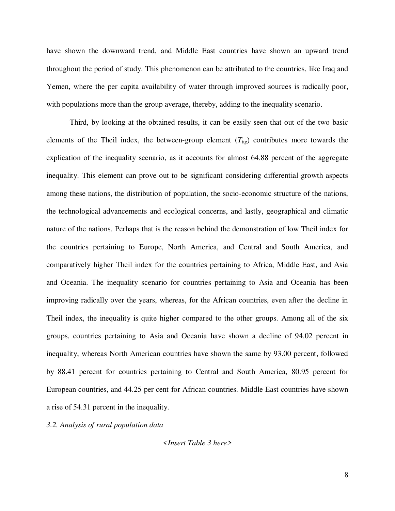have shown the downward trend, and Middle East countries have shown an upward trend throughout the period of study. This phenomenon can be attributed to the countries, like Iraq and Yemen, where the per capita availability of water through improved sources is radically poor, with populations more than the group average, thereby, adding to the inequality scenario.

Third, by looking at the obtained results, it can be easily seen that out of the two basic elements of the Theil index, the between-group element  $(T_{bg})$  contributes more towards the explication of the inequality scenario, as it accounts for almost 64.88 percent of the aggregate inequality. This element can prove out to be significant considering differential growth aspects among these nations, the distribution of population, the socio-economic structure of the nations, the technological advancements and ecological concerns, and lastly, geographical and climatic nature of the nations. Perhaps that is the reason behind the demonstration of low Theil index for the countries pertaining to Europe, North America, and Central and South America, and comparatively higher Theil index for the countries pertaining to Africa, Middle East, and Asia and Oceania. The inequality scenario for countries pertaining to Asia and Oceania has been improving radically over the years, whereas, for the African countries, even after the decline in Theil index, the inequality is quite higher compared to the other groups. Among all of the six groups, countries pertaining to Asia and Oceania have shown a decline of 94.02 percent in inequality, whereas North American countries have shown the same by 93.00 percent, followed by 88.41 percent for countries pertaining to Central and South America, 80.95 percent for European countries, and 44.25 per cent for African countries. Middle East countries have shown a rise of 54.31 percent in the inequality.

*3.2. Analysis of rural population data* 

*<Insert Table 3 here>*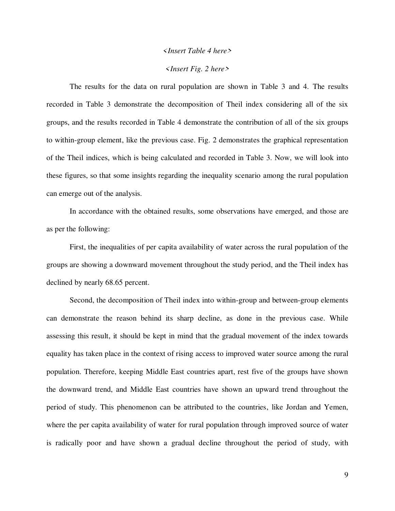#### *<Insert Table 4 here>*

#### *<Insert Fig. 2 here>*

The results for the data on rural population are shown in Table 3 and 4. The results recorded in Table 3 demonstrate the decomposition of Theil index considering all of the six groups, and the results recorded in Table 4 demonstrate the contribution of all of the six groups to within-group element, like the previous case. Fig. 2 demonstrates the graphical representation of the Theil indices, which is being calculated and recorded in Table 3. Now, we will look into these figures, so that some insights regarding the inequality scenario among the rural population can emerge out of the analysis.

In accordance with the obtained results, some observations have emerged, and those are as per the following:

First, the inequalities of per capita availability of water across the rural population of the groups are showing a downward movement throughout the study period, and the Theil index has declined by nearly 68.65 percent.

Second, the decomposition of Theil index into within-group and between-group elements can demonstrate the reason behind its sharp decline, as done in the previous case. While assessing this result, it should be kept in mind that the gradual movement of the index towards equality has taken place in the context of rising access to improved water source among the rural population. Therefore, keeping Middle East countries apart, rest five of the groups have shown the downward trend, and Middle East countries have shown an upward trend throughout the period of study. This phenomenon can be attributed to the countries, like Jordan and Yemen, where the per capita availability of water for rural population through improved source of water is radically poor and have shown a gradual decline throughout the period of study, with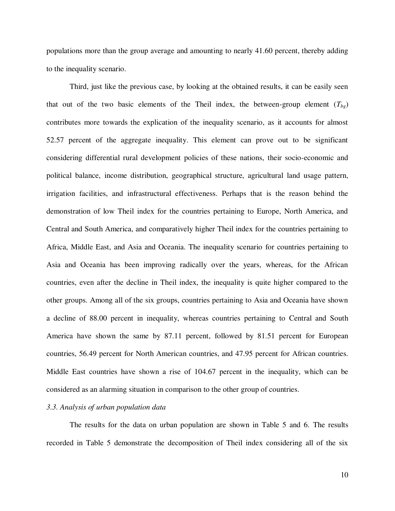populations more than the group average and amounting to nearly 41.60 percent, thereby adding to the inequality scenario.

Third, just like the previous case, by looking at the obtained results, it can be easily seen that out of the two basic elements of the Theil index, the between-group element  $(T_{bg})$ contributes more towards the explication of the inequality scenario, as it accounts for almost 52.57 percent of the aggregate inequality. This element can prove out to be significant considering differential rural development policies of these nations, their socio-economic and political balance, income distribution, geographical structure, agricultural land usage pattern, irrigation facilities, and infrastructural effectiveness. Perhaps that is the reason behind the demonstration of low Theil index for the countries pertaining to Europe, North America, and Central and South America, and comparatively higher Theil index for the countries pertaining to Africa, Middle East, and Asia and Oceania. The inequality scenario for countries pertaining to Asia and Oceania has been improving radically over the years, whereas, for the African countries, even after the decline in Theil index, the inequality is quite higher compared to the other groups. Among all of the six groups, countries pertaining to Asia and Oceania have shown a decline of 88.00 percent in inequality, whereas countries pertaining to Central and South America have shown the same by 87.11 percent, followed by 81.51 percent for European countries, 56.49 percent for North American countries, and 47.95 percent for African countries. Middle East countries have shown a rise of 104.67 percent in the inequality, which can be considered as an alarming situation in comparison to the other group of countries.

# *3.3. Analysis of urban population data*

The results for the data on urban population are shown in Table 5 and 6. The results recorded in Table 5 demonstrate the decomposition of Theil index considering all of the six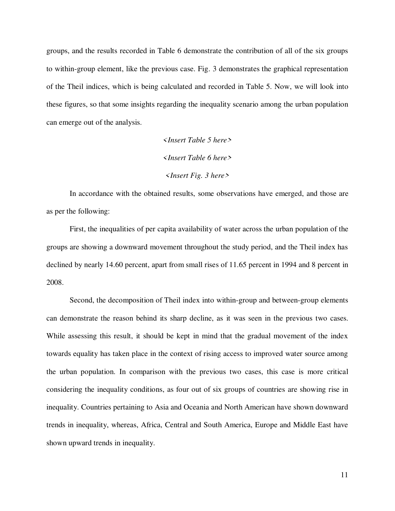groups, and the results recorded in Table 6 demonstrate the contribution of all of the six groups to within-group element, like the previous case. Fig. 3 demonstrates the graphical representation of the Theil indices, which is being calculated and recorded in Table 5. Now, we will look into these figures, so that some insights regarding the inequality scenario among the urban population can emerge out of the analysis.

> *<Insert Table 5 here> <Insert Table 6 here> <Insert Fig. 3 here>*

In accordance with the obtained results, some observations have emerged, and those are as per the following:

First, the inequalities of per capita availability of water across the urban population of the groups are showing a downward movement throughout the study period, and the Theil index has declined by nearly 14.60 percent, apart from small rises of 11.65 percent in 1994 and 8 percent in 2008.

Second, the decomposition of Theil index into within-group and between-group elements can demonstrate the reason behind its sharp decline, as it was seen in the previous two cases. While assessing this result, it should be kept in mind that the gradual movement of the index towards equality has taken place in the context of rising access to improved water source among the urban population. In comparison with the previous two cases, this case is more critical considering the inequality conditions, as four out of six groups of countries are showing rise in inequality. Countries pertaining to Asia and Oceania and North American have shown downward trends in inequality, whereas, Africa, Central and South America, Europe and Middle East have shown upward trends in inequality.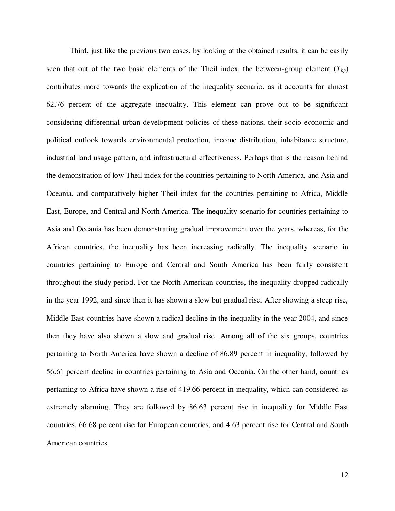Third, just like the previous two cases, by looking at the obtained results, it can be easily seen that out of the two basic elements of the Theil index, the between-group element  $(T_{bg})$ contributes more towards the explication of the inequality scenario, as it accounts for almost 62.76 percent of the aggregate inequality. This element can prove out to be significant considering differential urban development policies of these nations, their socio-economic and political outlook towards environmental protection, income distribution, inhabitance structure, industrial land usage pattern, and infrastructural effectiveness. Perhaps that is the reason behind the demonstration of low Theil index for the countries pertaining to North America, and Asia and Oceania, and comparatively higher Theil index for the countries pertaining to Africa, Middle East, Europe, and Central and North America. The inequality scenario for countries pertaining to Asia and Oceania has been demonstrating gradual improvement over the years, whereas, for the African countries, the inequality has been increasing radically. The inequality scenario in countries pertaining to Europe and Central and South America has been fairly consistent throughout the study period. For the North American countries, the inequality dropped radically in the year 1992, and since then it has shown a slow but gradual rise. After showing a steep rise, Middle East countries have shown a radical decline in the inequality in the year 2004, and since then they have also shown a slow and gradual rise. Among all of the six groups, countries pertaining to North America have shown a decline of 86.89 percent in inequality, followed by 56.61 percent decline in countries pertaining to Asia and Oceania. On the other hand, countries pertaining to Africa have shown a rise of 419.66 percent in inequality, which can considered as extremely alarming. They are followed by 86.63 percent rise in inequality for Middle East countries, 66.68 percent rise for European countries, and 4.63 percent rise for Central and South American countries.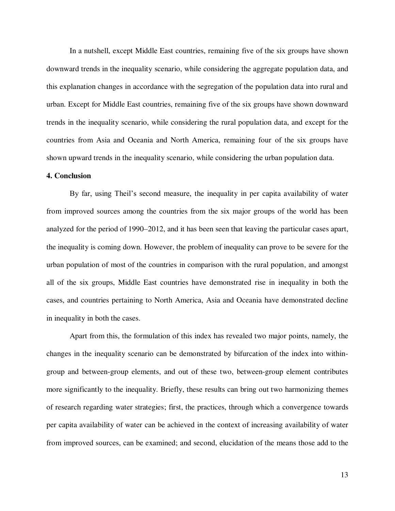In a nutshell, except Middle East countries, remaining five of the six groups have shown downward trends in the inequality scenario, while considering the aggregate population data, and this explanation changes in accordance with the segregation of the population data into rural and urban. Except for Middle East countries, remaining five of the six groups have shown downward trends in the inequality scenario, while considering the rural population data, and except for the countries from Asia and Oceania and North America, remaining four of the six groups have shown upward trends in the inequality scenario, while considering the urban population data.

#### **4. Conclusion**

By far, using Theil's second measure, the inequality in per capita availability of water from improved sources among the countries from the six major groups of the world has been analyzed for the period of 1990–2012, and it has been seen that leaving the particular cases apart, the inequality is coming down. However, the problem of inequality can prove to be severe for the urban population of most of the countries in comparison with the rural population, and amongst all of the six groups, Middle East countries have demonstrated rise in inequality in both the cases, and countries pertaining to North America, Asia and Oceania have demonstrated decline in inequality in both the cases.

Apart from this, the formulation of this index has revealed two major points, namely, the changes in the inequality scenario can be demonstrated by bifurcation of the index into withingroup and between-group elements, and out of these two, between-group element contributes more significantly to the inequality. Briefly, these results can bring out two harmonizing themes of research regarding water strategies; first, the practices, through which a convergence towards per capita availability of water can be achieved in the context of increasing availability of water from improved sources, can be examined; and second, elucidation of the means those add to the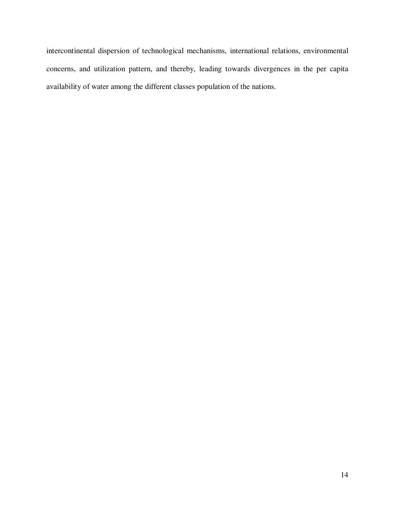intercontinental dispersion of technological mechanisms, international relations, environmental concerns, and utilization pattern, and thereby, leading towards divergences in the per capita availability of water among the different classes population of the nations.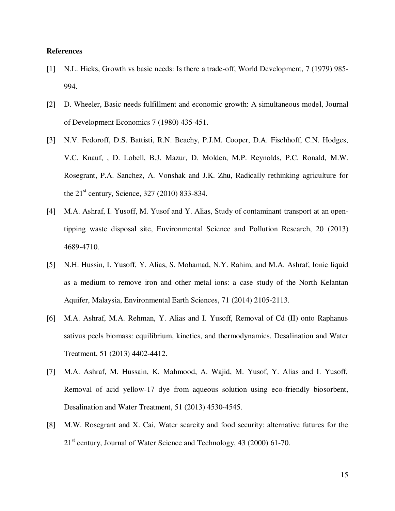#### **References**

- [1] N.L. Hicks, Growth vs basic needs: Is there a trade-off, World Development, 7 (1979) 985- 994.
- [2] D. Wheeler, Basic needs fulfillment and economic growth: A simultaneous model, Journal of Development Economics 7 (1980) 435-451.
- [3] N.V. Fedoroff, D.S. Battisti, R.N. Beachy, P.J.M. Cooper, D.A. Fischhoff, C.N. Hodges, V.C. Knauf, , D. Lobell, B.J. Mazur, D. Molden, M.P. Reynolds, P.C. Ronald, M.W. Rosegrant, P.A. Sanchez, A. Vonshak and J.K. Zhu, Radically rethinking agriculture for the  $21^{\text{st}}$  century, Science, 327 (2010) 833-834.
- [4] M.A. Ashraf, I. Yusoff, M. Yusof and Y. Alias, Study of contaminant transport at an opentipping waste disposal site, Environmental Science and Pollution Research, 20 (2013) 4689-4710.
- [5] N.H. Hussin, I. Yusoff, Y. Alias, S. Mohamad, N.Y. Rahim, and M.A. Ashraf, Ionic liquid as a medium to remove iron and other metal ions: a case study of the North Kelantan Aquifer, Malaysia, Environmental Earth Sciences, 71 (2014) 2105-2113.
- [6] M.A. Ashraf, M.A. Rehman, Y. Alias and I. Yusoff, Removal of Cd (II) onto Raphanus sativus peels biomass: equilibrium, kinetics, and thermodynamics, Desalination and Water Treatment, 51 (2013) 4402-4412.
- [7] M.A. Ashraf, M. Hussain, K. Mahmood, A. Wajid, M. Yusof, Y. Alias and I. Yusoff, Removal of acid yellow-17 dye from aqueous solution using eco-friendly biosorbent, Desalination and Water Treatment, 51 (2013) 4530-4545.
- [8] M.W. Rosegrant and X. Cai, Water scarcity and food security: alternative futures for the 21<sup>st</sup> century, Journal of Water Science and Technology, 43 (2000) 61-70.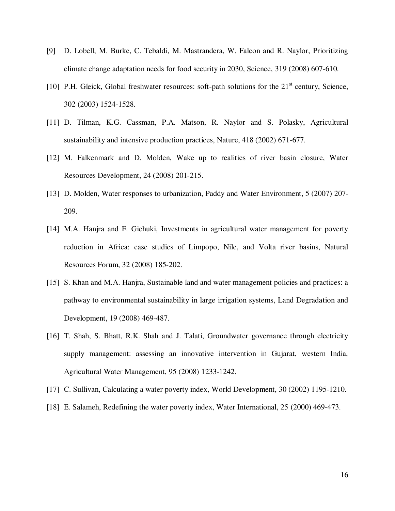- [9] D. Lobell, M. Burke, C. Tebaldi, M. Mastrandera, W. Falcon and R. Naylor, Prioritizing climate change adaptation needs for food security in 2030, Science, 319 (2008) 607-610.
- [10] P.H. Gleick, Global freshwater resources: soft-path solutions for the  $21<sup>st</sup>$  century, Science, 302 (2003) 1524-1528.
- [11] D. Tilman, K.G. Cassman, P.A. Matson, R. Naylor and S. Polasky, Agricultural sustainability and intensive production practices, Nature, 418 (2002) 671-677.
- [12] M. Falkenmark and D. Molden, Wake up to realities of river basin closure, Water Resources Development, 24 (2008) 201-215.
- [13] D. Molden, Water responses to urbanization, Paddy and Water Environment, 5 (2007) 207- 209.
- [14] M.A. Hanjra and F. Gichuki, Investments in agricultural water management for poverty reduction in Africa: case studies of Limpopo, Nile, and Volta river basins, Natural Resources Forum, 32 (2008) 185-202.
- [15] S. Khan and M.A. Hanjra, Sustainable land and water management policies and practices: a pathway to environmental sustainability in large irrigation systems, Land Degradation and Development, 19 (2008) 469-487.
- [16] T. Shah, S. Bhatt, R.K. Shah and J. Talati, Groundwater governance through electricity supply management: assessing an innovative intervention in Gujarat, western India, Agricultural Water Management, 95 (2008) 1233-1242.
- [17] C. Sullivan, Calculating a water poverty index, World Development, 30 (2002) 1195-1210.
- [18] E. Salameh, Redefining the water poverty index, Water International, 25 (2000) 469-473.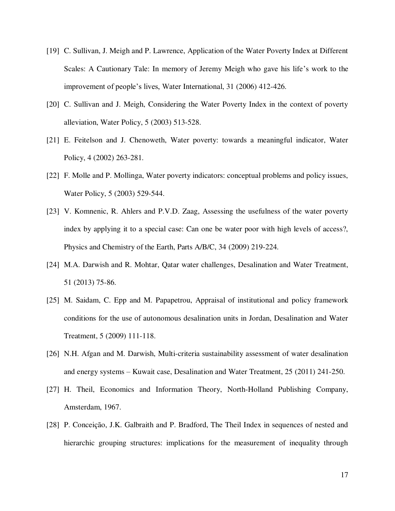- [19] C. Sullivan, J. Meigh and P. Lawrence, Application of the Water Poverty Index at Different Scales: A Cautionary Tale: In memory of Jeremy Meigh who gave his life's work to the improvement of people's lives, Water International, 31 (2006) 412-426.
- [20] C. Sullivan and J. Meigh, Considering the Water Poverty Index in the context of poverty alleviation, Water Policy, 5 (2003) 513-528.
- [21] E. Feitelson and J. Chenoweth, Water poverty: towards a meaningful indicator, Water Policy, 4 (2002) 263-281.
- [22] F. Molle and P. Mollinga, Water poverty indicators: conceptual problems and policy issues, Water Policy, 5 (2003) 529-544.
- [23] V. Komnenic, R. Ahlers and P.V.D. Zaag, Assessing the usefulness of the water poverty index by applying it to a special case: Can one be water poor with high levels of access?, Physics and Chemistry of the Earth, Parts A/B/C, 34 (2009) 219-224.
- [24] M.A. Darwish and R. Mohtar, Qatar water challenges, Desalination and Water Treatment, 51 (2013) 75-86.
- [25] M. Saidam, C. Epp and M. Papapetrou, Appraisal of institutional and policy framework conditions for the use of autonomous desalination units in Jordan, Desalination and Water Treatment, 5 (2009) 111-118.
- [26] N.H. Afgan and M. Darwish, Multi-criteria sustainability assessment of water desalination and energy systems – Kuwait case, Desalination and Water Treatment, 25 (2011) 241-250.
- [27] H. Theil, Economics and Information Theory, North-Holland Publishing Company, Amsterdam, 1967.
- [28] P. Conceição, J.K. Galbraith and P. Bradford, The Theil Index in sequences of nested and hierarchic grouping structures: implications for the measurement of inequality through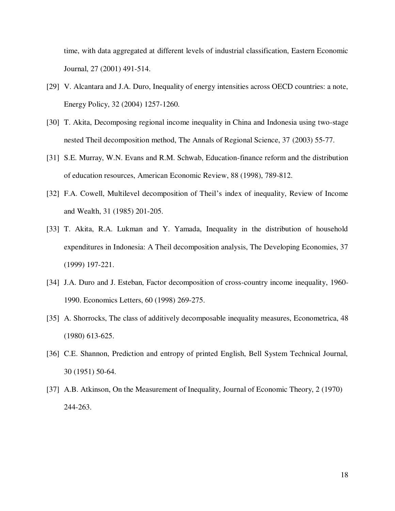time, with data aggregated at different levels of industrial classification, Eastern Economic Journal, 27 (2001) 491-514.

- [29] V. Alcantara and J.A. Duro, Inequality of energy intensities across OECD countries: a note, Energy Policy, 32 (2004) 1257-1260.
- [30] T. Akita, Decomposing regional income inequality in China and Indonesia using two-stage nested Theil decomposition method, The Annals of Regional Science, 37 (2003) 55-77.
- [31] S.E. Murray, W.N. Evans and R.M. Schwab, Education-finance reform and the distribution of education resources, American Economic Review, 88 (1998), 789-812.
- [32] F.A. Cowell, Multilevel decomposition of Theil's index of inequality, Review of Income and Wealth, 31 (1985) 201-205.
- [33] T. Akita, R.A. Lukman and Y. Yamada, Inequality in the distribution of household expenditures in Indonesia: A Theil decomposition analysis, The Developing Economies, 37 (1999) 197-221.
- [34] J.A. Duro and J. Esteban, Factor decomposition of cross-country income inequality, 1960- 1990. Economics Letters, 60 (1998) 269-275.
- [35] A. Shorrocks, The class of additively decomposable inequality measures, Econometrica, 48 (1980) 613-625.
- [36] C.E. Shannon, Prediction and entropy of printed English, Bell System Technical Journal, 30 (1951) 50-64.
- [37] A.B. Atkinson, On the Measurement of Inequality, Journal of Economic Theory, 2 (1970) 244-263.